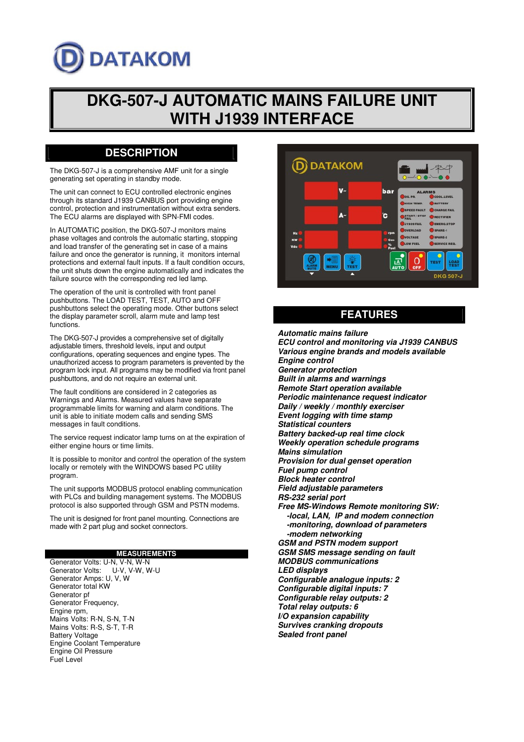# **DATAKOM**

## **DKG-507-J AUTOMATIC MAINS FAILURE UNIT WITH J1939 INTERFACE**

### **DESCRIPTION**

The DKG-507-J is a comprehensive AMF unit for a single generating set operating in standby mode.

The unit can connect to ECU controlled electronic engines through its standard J1939 CANBUS port providing engine control, protection and instrumentation without extra senders. The ECU alarms are displayed with SPN-FMI codes.

In AUTOMATIC position, the DKG-507-J monitors mains phase voltages and controls the automatic starting, stopping and load transfer of the generating set in case of a mains failure and once the generator is running, it monitors internal protections and external fault inputs. If a fault condition occurs, the unit shuts down the engine automatically and indicates the failure source with the corresponding red led lamp.

The operation of the unit is controlled with front panel pushbuttons. The LOAD TEST, TEST, AUTO and OFF pushbuttons select the operating mode. Other buttons select the display parameter scroll, alarm mute and lamp test functions.

The DKG-507-J provides a comprehensive set of digitally adjustable timers, threshold levels, input and output configurations, operating sequences and engine types. The unauthorized access to program parameters is prevented by the program lock input. All programs may be modified via front panel pushbuttons, and do not require an external unit.

The fault conditions are considered in 2 categories as Warnings and Alarms. Measured values have separate programmable limits for warning and alarm conditions. The unit is able to initiate modem calls and sending SMS messages in fault conditions.

The service request indicator lamp turns on at the expiration of either engine hours or time limits.

It is possible to monitor and control the operation of the system locally or remotely with the WINDOWS based PC utility program.

The unit supports MODBUS protocol enabling communication with PLCs and building management systems. The MODBUS protocol is also supported through GSM and PSTN modems.

The unit is designed for front panel mounting. Connections are made with 2 part plug and socket connectors.

#### **MEASUREMENTS**

Generator Volts: U-N, V-N, W-N<br>Generator Volts: U-V, V-W, W-U Generator Volts: Generator Amps: U, V, W Generator total KW Generator pf Generator Frequency, Engine rpm, Mains Volts: R-N, S-N, T-N Mains Volts: R-S, S-T, T-R Battery Voltage Engine Coolant Temperature Engine Oil Pressure Fuel Level



#### **FEATURES**

*Automatic mains failure ECU control and monitoring via J1939 CANBUS Various engine brands and models available Engine control Generator protection Built in alarms and warnings Remote Start operation available Periodic maintenance request indicator Daily / weekly / monthly exerciser Event logging with time stamp Statistical counters Battery backed-up real time clock Weekly operation schedule programs Mains simulation Provision for dual genset operation Fuel pump control Block heater control Field adjustable parameters RS-232 serial port Free MS-Windows Remote monitoring SW: -local, LAN, IP and modem connection -monitoring, download of parameters -modem networking GSM and PSTN modem support GSM SMS message sending on fault MODBUS communications LED displays Configurable analogue inputs: 2 Configurable digital inputs: 7 Configurable relay outputs: 2 Total relay outputs: 6 I/O expansion capability Survives cranking dropouts Sealed front panel*